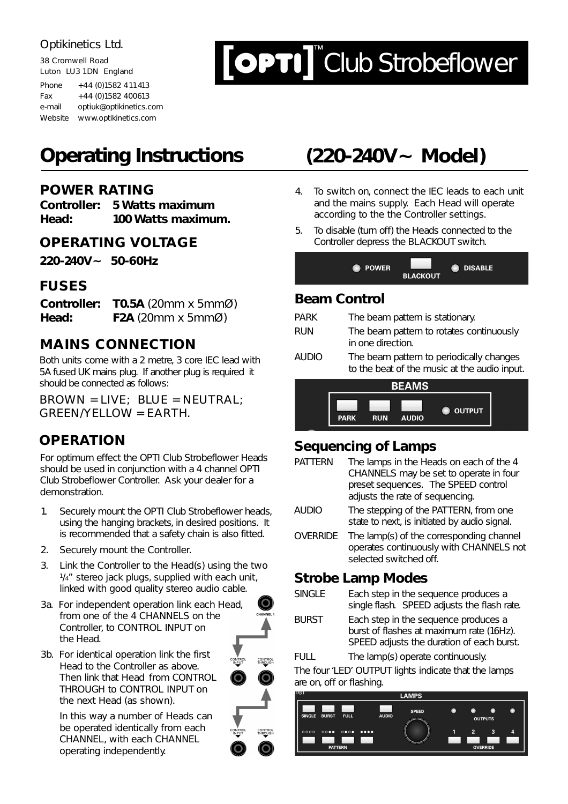38 Cromwell Road Luton LU3 1DN England Phone  $+44 (0)1582 411413$ Fax  $+44(0)1582400613$ e-mail optiuk@optikinetics.com Website www.optikinetics.com

# $\text{[OPT]}$  Club Strobeflower

# **Operating Instructions**

# **POWER RATING**

**Controller: 5 Watts maximum Head: 100 Watts maximum.**

# **OPERATING VOLTAGE**

**220-240V~ 50-60Hz**

# **FUSES**

**Controller: T0.5A** (20mm x 5mmØ) **Head: F2A** (20mm x 5mmØ)

# **MAINS CONNECTION**

Both units come with a 2 metre, 3 core IEC lead with 5A fused UK mains plug. If another plug is required it should be connected as follows:

BROWN = LIVE; BLUE = NEUTRAL; GREEN/YELLOW = EARTH.

# **OPERATION**

For optimum effect the OPTI Club Strobeflower Heads should be used in conjunction with a 4 channel OPTI Club Strobeflower Controller. Ask your dealer for a demonstration.

- 1. Securely mount the OPTI Club Strobeflower heads, using the hanging brackets, in desired positions. It is recommended that a safety chain is also fitted.
- 2. Securely mount the Controller.
- 3. Link the Controller to the Head(s) using the two  $1/4$ " stereo jack plugs, supplied with each unit, linked with good quality stereo audio cable.
- 3a. For independent operation link each Head, from one of the 4 CHANNELS on the Controller, to CONTROL INPUT on the Head.
- 3b. For identical operation link the first Head to the Controller as above. Then link that Head from CONTROL THROUGH to CONTROL INPUT on the next Head (as shown).

In this way a number of Heads can be operated identically from each CHANNEL, with each CHANNEL operating independently.

CONTROL<br>THROUGH  $\Omega$ 



- 4. To switch on, connect the IEC leads to each unit and the mains supply. Each Head will operate according to the the Controller settings.
- 5. To disable (turn off) the Heads connected to the Controller depress the BLACKOUT switch.

| <b>O</b> POWER | <b>BLACKOUT</b> | <b>DISABLE</b> |  |
|----------------|-----------------|----------------|--|
|                |                 |                |  |

# **Beam Control**

| <b>PARK</b>  | The beam pattern is stationary.                                                          |
|--------------|------------------------------------------------------------------------------------------|
| <b>RUN</b>   | The beam pattern to rotates continuously<br>in one direction.                            |
| <b>AUDIO</b> | The beam pattern to periodically changes<br>to the beat of the music at the audio input. |



# **Sequencing of Lamps**

| <b>PATTERN</b>           | The lamps in the Heads on each of the 4<br>CHANNELS may be set to operate in four<br>preset sequences. The SPEED control<br>adjusts the rate of sequencing. |  |
|--------------------------|-------------------------------------------------------------------------------------------------------------------------------------------------------------|--|
| <b>AUDIO</b>             | The stepping of the PATTERN, from one<br>state to next, is initiated by audio signal.                                                                       |  |
| <b>OVERRIDE</b>          | The lamp(s) of the corresponding channel<br>operates continuously with CHANNELS not<br>selected switched off.                                               |  |
| <b>Strobe Lamp Modes</b> |                                                                                                                                                             |  |
| <b>SINGLE</b>            | Each step in the sequence produces a<br>single flash. SPEED adjusts the flash rate.                                                                         |  |
| <b>BURST</b>             | Each step in the sequence produces a<br>burst of flashes at maximum rate (16Hz).                                                                            |  |

SPEED adjusts the duration of each burst. FULL The lamp(s) operate continuously.

The four 'LED' OUTPUT lights indicate that the lamps are on, off or flashing.

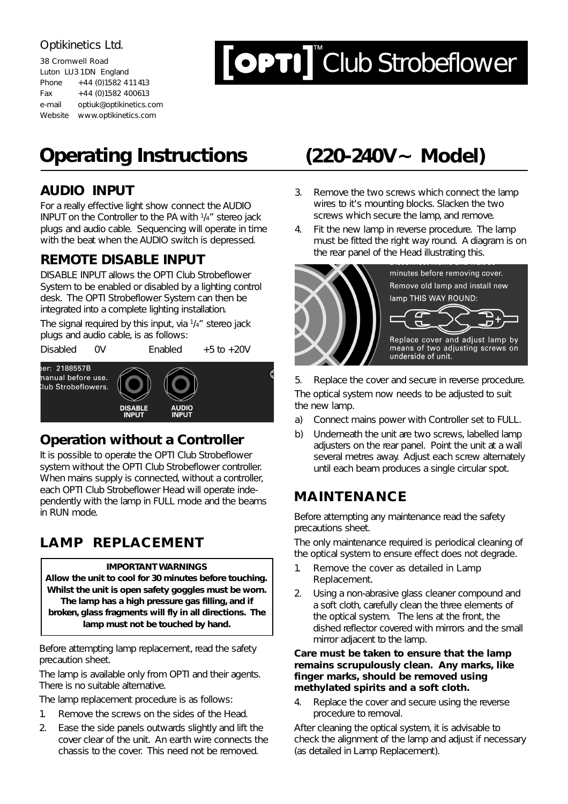| 38 Cromwell Road      |                         |  |  |
|-----------------------|-------------------------|--|--|
| Luton LU3 1DN England |                         |  |  |
| Phone                 | +44 (0) 1582 411 413    |  |  |
| Fax                   | +44 (0) 1582 400613     |  |  |
| e-mail                | optiuk@optikinetics.com |  |  |
| Website               | www.optikinetics.com    |  |  |

# $\boxed{\text{OPT}}$ Club Strobeflower

# **Operating Instructions (220-240V~ Model)**

# **AUDIO INPUT**

For a really effective light show connect the AUDIO INPUT on the Controller to the PA with 1/4" stereo jack plugs and audio cable. Sequencing will operate in time with the beat when the AUDIO switch is depressed.

# **REMOTE DISABLE INPUT**

DISABLE INPUT allows the OPTI Club Strobeflower System to be enabled or disabled by a lighting control desk. The OPTI Strobeflower System can then be integrated into a complete lighting installation.

The signal required by this input, via 1/4" stereo jack plugs and audio cable, is as follows:

Disabled 0V Enabled +5 to +20V



# **Operation without a Controller**

It is possible to operate the OPTI Club Strobeflower system without the OPTI Club Strobeflower controller. When mains supply is connected, without a controller, each OPTI Club Strobeflower Head will operate independently with the lamp in FULL mode and the beams in RUN mode.

# **LAMP REPLACEMENT**

### **IMPORTANT WARNINGS**

**Allow the unit to cool for 30 minutes before touching. Whilst the unit is open safety goggles must be worn. The lamp has a high pressure gas filling, and if broken, glass fragments will fly in all directions. The lamp must not be touched by hand.**

Before attempting lamp replacement, read the safety precaution sheet.

The lamp is available only from OPTI and their agents. There is no suitable alternative.

The lamp replacement procedure is as follows:

- 1. Remove the screws on the sides of the Head.
- 2. Ease the side panels outwards slightly and lift the cover clear of the unit. An earth wire connects the chassis to the cover. This need not be removed.

- 3. Remove the two screws which connect the lamp wires to it's mounting blocks. Slacken the two screws which secure the lamp, and remove.
- 4. Fit the new lamp in reverse procedure. The lamp must be fitted the right way round. A diagram is on the rear panel of the Head illustrating this.



5. Replace the cover and secure in reverse procedure. The optical system now needs to be adjusted to suit the new lamp.

- a) Connect mains power with Controller set to FULL.
- b) Underneath the unit are two screws, labelled lamp adjusters on the rear panel. Point the unit at a wall several metres away. Adjust each screw alternately until each beam produces a single circular spot.

# **MAINTENANCE**

Before attempting any maintenance read the safety precautions sheet.

The only maintenance required is periodical cleaning of the optical system to ensure effect does not degrade.

- 1. Remove the cover as detailed in Lamp Replacement.
- 2. Using a non-abrasive glass cleaner compound and a soft cloth, carefully clean the three elements of the optical system. The lens at the front, the dished reflector covered with mirrors and the small mirror adjacent to the lamp.

### **Care must be taken to ensure that the lamp remains scrupulously clean. Any marks, like finger marks, should be removed using methylated spirits and a soft cloth.**

4. Replace the cover and secure using the reverse procedure to removal.

After cleaning the optical system, it is advisable to check the alignment of the lamp and adjust if necessary (as detailed in Lamp Replacement).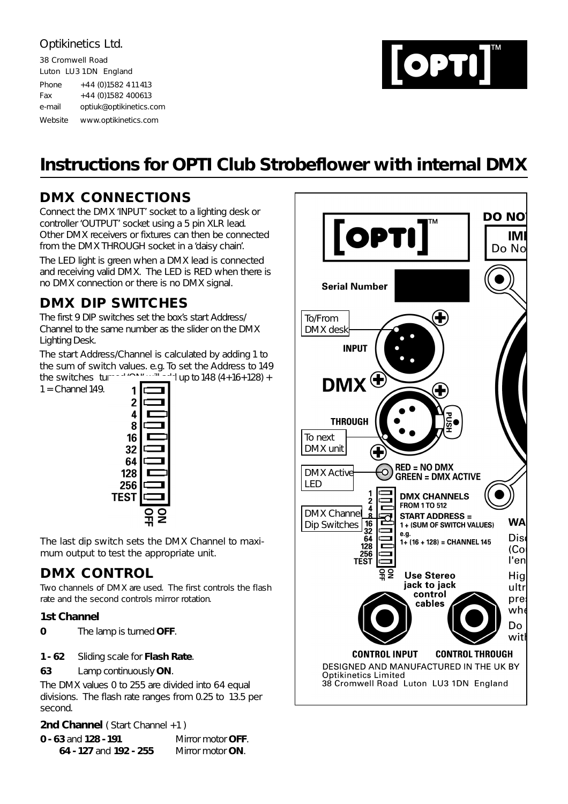38 Cromwell Road Luton LU3 1DN England Phone  $+44 (0)1582 411413$ Fax  $+44 (0)1582 400613$ e-mail optiuk@optikinetics.com Website www.optikinetics.com

# OPTI

# **Instructions for OPTI Club Strobeflower with internal DMX**

# **DMX CONNECTIONS**

Connect the DMX 'INPUT' socket to a lighting desk or controller 'OUTPUT' socket using a 5 pin XLR lead. Other DMX receivers or fixtures can then be connected from the DMX THROUGH socket in a 'daisy chain'.

The LED light is green when a DMX lead is connected and receiving valid DMX. The LED is RED when there is no DMX connection or there is no DMX signal.

# **DMX DIP SWITCHES**

The first 9 DIP switches set the box's start Address/ Channel to the same number as the slider on the DMX Lighting Desk.

The start Address/Channel is calculated by adding 1 to the sum of switch values. e.g. To set the Address to 149 the switches turned 'ON' will add up to 148  $(4+16+128) +$ 

 $1 =$  Channel 149.



The last dip switch sets the DMX Channel to maximum output to test the appropriate unit.

# **DMX CONTROL**

Two channels of DMX are used. The first controls the flash rate and the second controls mirror rotation.

### **1st Channel**

**0** The lamp is turned **OFF**.

### **1 - 62** Sliding scale for **Flash Rate**.

**63** Lamp continuously **ON**.

The DMX values 0 to 255 are divided into 64 equal divisions. The flash rate ranges from 0.25 to 13.5 per second.

**2nd Channel** (Start Channel +1)

| $0 - 63$ and $128 - 191$ | Mirror motor <b>OFF</b> . |
|--------------------------|---------------------------|
| 64 - 127 and 192 - 255   | Mirror motor <b>ON</b> .  |